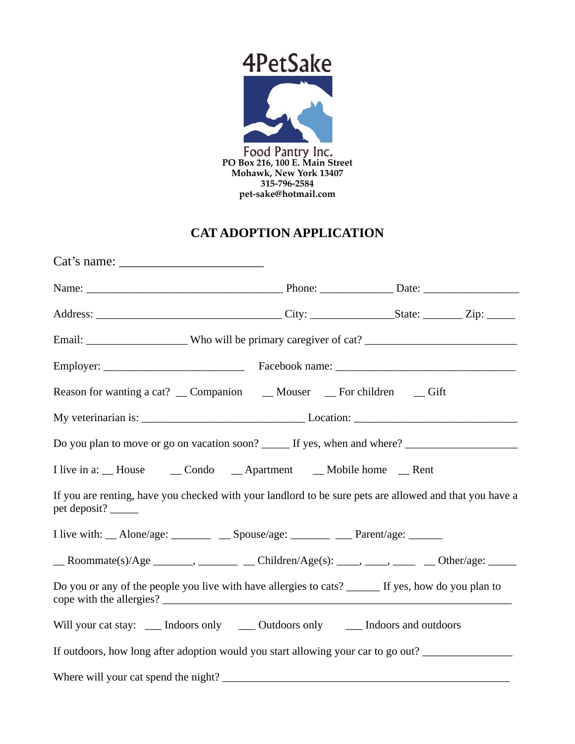

## **CAT ADOPTION APPLICATION**

| $Cat's name: \_$                                                                                                               |  |  |
|--------------------------------------------------------------------------------------------------------------------------------|--|--|
|                                                                                                                                |  |  |
|                                                                                                                                |  |  |
|                                                                                                                                |  |  |
|                                                                                                                                |  |  |
|                                                                                                                                |  |  |
|                                                                                                                                |  |  |
|                                                                                                                                |  |  |
| I live in a: __ House ___ __ Condo ____ Apartment ____ Mobile home ___ Rent                                                    |  |  |
| If you are renting, have you checked with your landlord to be sure pets are allowed and that you have a<br>pet deposit? ______ |  |  |
| I live with: __ Alone/age: ________ __ Spouse/age: ______ __ Parent/age: ______                                                |  |  |
| $\_\_\$ Roommate(s)/Age _______, ________ $\_\_\$ Children/Age(s): ____, ____, _____ $\_\_\_\_\$ Other/age: _____              |  |  |
| Do you or any of the people you live with have allergies to cats? ______ If yes, how do you plan to                            |  |  |
| Will your cat stay: ____ Indoors only _____ Outdoors only ______ Indoors and outdoors                                          |  |  |
| If outdoors, how long after adoption would you start allowing your car to go out?                                              |  |  |
|                                                                                                                                |  |  |